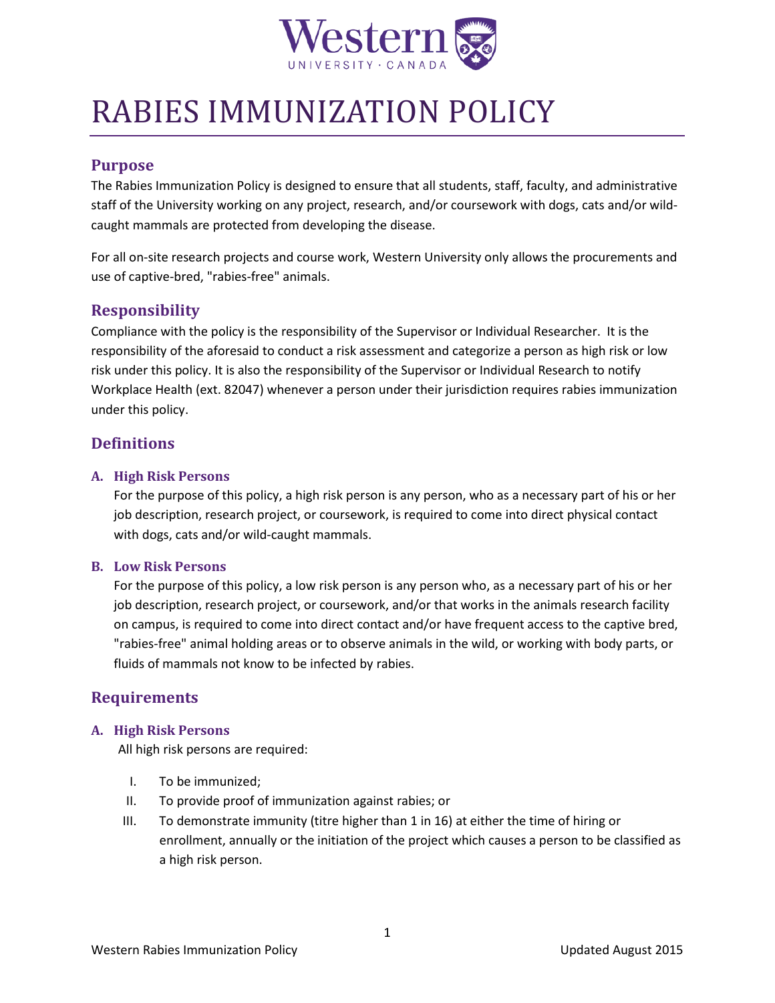

# RABIES IMMUNIZATION POLICY

## **Purpose**

 The Rabies Immunization Policy is designed to ensure that all students, staff, faculty, and administrative staff of the University working on any project, research, and/or coursework with dogs, cats and/or wildcaught mammals are protected from developing the disease.

For all on-site research projects and course work, Western University only allows the procurements and use of captive-bred, "rabies-free" animals.

# **Responsibility**

 Compliance with the policy is the responsibility of the Supervisor or Individual Researcher. It is the under this policy. responsibility of the aforesaid to conduct a risk assessment and categorize a person as high risk or low risk under this policy. It is also the responsibility of the Supervisor or Individual Research to notify Workplace Health (ext. 82047) whenever a person under their jurisdiction requires rabies immunization

# **Definitions**

#### **A. High Risk Persons**

 For the purpose of this policy, a high risk person is any person, who as a necessary part of his or her job description, research project, or coursework, is required to come into direct physical contact with dogs, cats and/or wild-caught mammals.

### **B. Low Risk Persons**

 For the purpose of this policy, a low risk person is any person who, as a necessary part of his or her "rabies-free" animal holding areas or to observe animals in the wild, or working with body parts, or job description, research project, or coursework, and/or that works in the animals research facility on campus, is required to come into direct contact and/or have frequent access to the captive bred, fluids of mammals not know to be infected by rabies.

## **Requirements**

## **A. High Risk Persons**

All high risk persons are required:

- I. To be immunized;
- II. To provide proof of immunization against rabies; or
- III. To demonstrate immunity (titre higher than 1 in 16) at either the time of hiring or enrollment, annually or the initiation of the project which causes a person to be classified as a high risk person.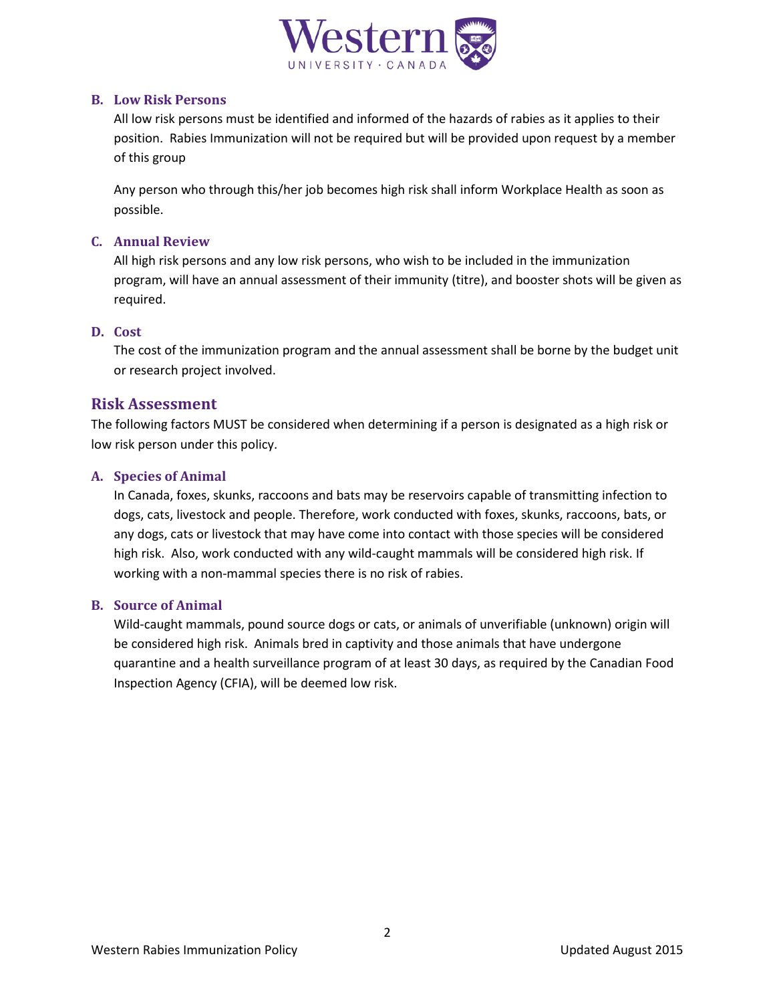

#### **B. Low Risk Persons**

 position. Rabies Immunization will not be required but will be provided upon request by a member All low risk persons must be identified and informed of the hazards of rabies as it applies to their of this group

Any person who through this/her job becomes high risk shall inform Workplace Health as soon as possible.

### **C. Annual Review**

All high risk persons and any low risk persons, who wish to be included in the immunization program, will have an annual assessment of their immunity (titre), and booster shots will be given as required.

#### **D. Cost**

 The cost of the immunization program and the annual assessment shall be borne by the budget unit or research project involved.

## **Risk Assessment**

 The following factors MUST be considered when determining if a person is designated as a high risk or low risk person under this policy.

#### **A. Species of Animal**

 In Canada, foxes, skunks, raccoons and bats may be reservoirs capable of transmitting infection to dogs, cats, livestock and people. Therefore, work conducted with foxes, skunks, raccoons, bats, or any dogs, cats or livestock that may have come into contact with those species will be considered high risk. Also, work conducted with any wild-caught mammals will be considered high risk. If working with a non-mammal species there is no risk of rabies.

#### **B. Source of Animal**

 Wild-caught mammals, pound source dogs or cats, or animals of unverifiable (unknown) origin will be considered high risk. Animals bred in captivity and those animals that have undergone quarantine and a health surveillance program of at least 30 days, as required by the Canadian Food Inspection Agency (CFIA), will be deemed low risk.